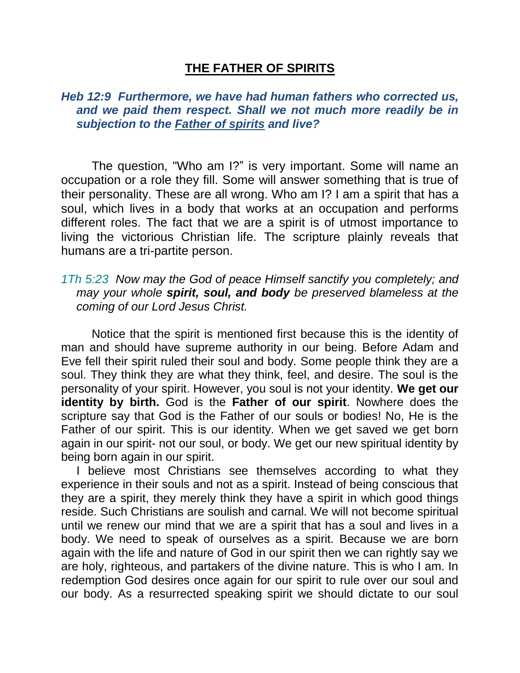# **THE FATHER OF SPIRITS**

### *Heb 12:9 Furthermore, we have had human fathers who corrected us, and we paid them respect. Shall we not much more readily be in subjection to the Father of spirits and live?*

The question, "Who am I?" is very important. Some will name an occupation or a role they fill. Some will answer something that is true of their personality. These are all wrong. Who am I? I am a spirit that has a soul, which lives in a body that works at an occupation and performs different roles. The fact that we are a spirit is of utmost importance to living the victorious Christian life. The scripture plainly reveals that humans are a tri-partite person.

### *1Th 5:23 Now may the God of peace Himself sanctify you completely; and may your whole spirit, soul, and body be preserved blameless at the coming of our Lord Jesus Christ.*

Notice that the spirit is mentioned first because this is the identity of man and should have supreme authority in our being. Before Adam and Eve fell their spirit ruled their soul and body. Some people think they are a soul. They think they are what they think, feel, and desire. The soul is the personality of your spirit. However, you soul is not your identity. **We get our identity by birth.** God is the **Father of our spirit**. Nowhere does the scripture say that God is the Father of our souls or bodies! No, He is the Father of our spirit. This is our identity. When we get saved we get born again in our spirit- not our soul, or body. We get our new spiritual identity by being born again in our spirit.

I believe most Christians see themselves according to what they experience in their souls and not as a spirit. Instead of being conscious that they are a spirit, they merely think they have a spirit in which good things reside. Such Christians are soulish and carnal. We will not become spiritual until we renew our mind that we are a spirit that has a soul and lives in a body. We need to speak of ourselves as a spirit. Because we are born again with the life and nature of God in our spirit then we can rightly say we are holy, righteous, and partakers of the divine nature. This is who I am. In redemption God desires once again for our spirit to rule over our soul and our body. As a resurrected speaking spirit we should dictate to our soul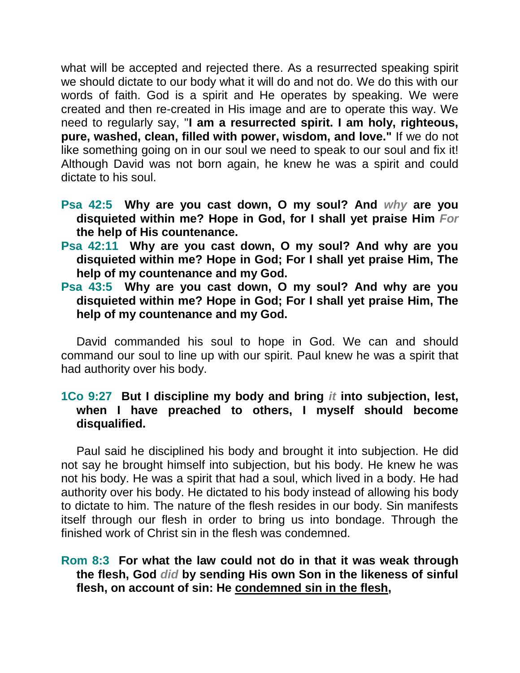what will be accepted and rejected there. As a resurrected speaking spirit we should dictate to our body what it will do and not do. We do this with our words of faith. God is a spirit and He operates by speaking. We were created and then re-created in His image and are to operate this way. We need to regularly say, "**I am a resurrected spirit. I am holy, righteous, pure, washed, clean, filled with power, wisdom, and love."** If we do not like something going on in our soul we need to speak to our soul and fix it! Although David was not born again, he knew he was a spirit and could dictate to his soul.

- **Psa 42:5 Why are you cast down, O my soul? And** *why* **are you disquieted within me? Hope in God, for I shall yet praise Him** *For* **the help of His countenance.**
- **Psa 42:11 Why are you cast down, O my soul? And why are you disquieted within me? Hope in God; For I shall yet praise Him, The help of my countenance and my God.**
- **Psa 43:5 Why are you cast down, O my soul? And why are you disquieted within me? Hope in God; For I shall yet praise Him, The help of my countenance and my God.**

David commanded his soul to hope in God. We can and should command our soul to line up with our spirit. Paul knew he was a spirit that had authority over his body.

### **1Co 9:27 But I discipline my body and bring** *it* **into subjection, lest, when I have preached to others, I myself should become disqualified.**

Paul said he disciplined his body and brought it into subjection. He did not say he brought himself into subjection, but his body. He knew he was not his body. He was a spirit that had a soul, which lived in a body. He had authority over his body. He dictated to his body instead of allowing his body to dictate to him. The nature of the flesh resides in our body. Sin manifests itself through our flesh in order to bring us into bondage. Through the finished work of Christ sin in the flesh was condemned.

## **Rom 8:3 For what the law could not do in that it was weak through the flesh, God** *did* **by sending His own Son in the likeness of sinful flesh, on account of sin: He condemned sin in the flesh,**